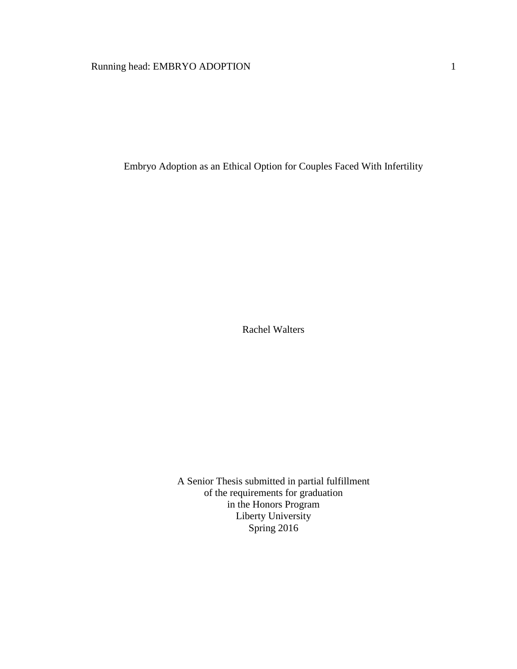# Running head: EMBRYO ADOPTION 1

Embryo Adoption as an Ethical Option for Couples Faced With Infertility

Rachel Walters

A Senior Thesis submitted in partial fulfillment of the requirements for graduation in the Honors Program Liberty University Spring 2016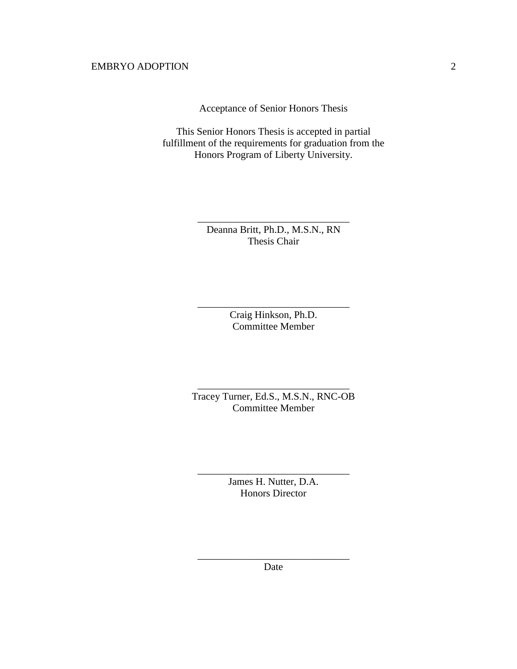Acceptance of Senior Honors Thesis

This Senior Honors Thesis is accepted in partial fulfillment of the requirements for graduation from the Honors Program of Liberty University.

> Deanna Britt, Ph.D., M.S.N., RN Thesis Chair

\_\_\_\_\_\_\_\_\_\_\_\_\_\_\_\_\_\_\_\_\_\_\_\_\_\_\_\_\_\_

Craig Hinkson, Ph.D. Committee Member

\_\_\_\_\_\_\_\_\_\_\_\_\_\_\_\_\_\_\_\_\_\_\_\_\_\_\_\_\_\_

Tracey Turner, Ed.S., M.S.N., RNC-OB Committee Member

\_\_\_\_\_\_\_\_\_\_\_\_\_\_\_\_\_\_\_\_\_\_\_\_\_\_\_\_\_\_

James H. Nutter, D.A. Honors Director

\_\_\_\_\_\_\_\_\_\_\_\_\_\_\_\_\_\_\_\_\_\_\_\_\_\_\_\_\_\_

\_\_\_\_\_\_\_\_\_\_\_\_\_\_\_\_\_\_\_\_\_\_\_\_\_\_\_\_\_\_ Date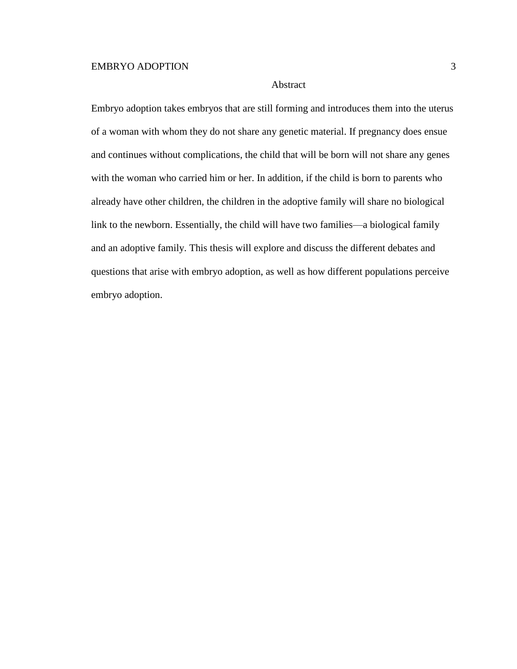# Abstract

Embryo adoption takes embryos that are still forming and introduces them into the uterus of a woman with whom they do not share any genetic material. If pregnancy does ensue and continues without complications, the child that will be born will not share any genes with the woman who carried him or her. In addition, if the child is born to parents who already have other children, the children in the adoptive family will share no biological link to the newborn. Essentially, the child will have two families—a biological family and an adoptive family. This thesis will explore and discuss the different debates and questions that arise with embryo adoption, as well as how different populations perceive embryo adoption.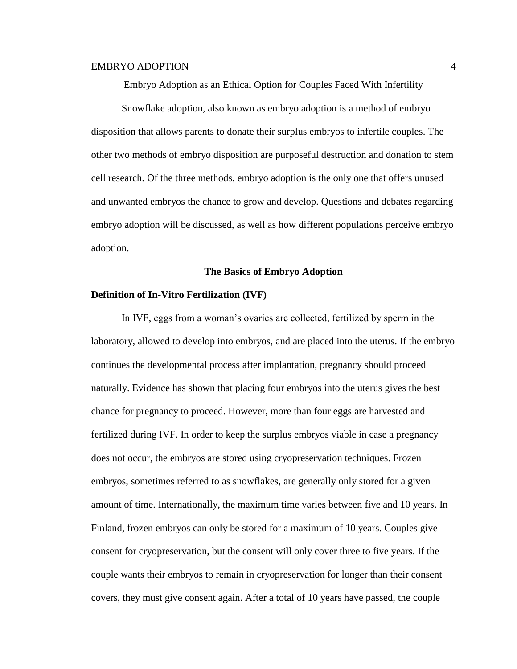Embryo Adoption as an Ethical Option for Couples Faced With Infertility

Snowflake adoption, also known as embryo adoption is a method of embryo disposition that allows parents to donate their surplus embryos to infertile couples. The other two methods of embryo disposition are purposeful destruction and donation to stem cell research. Of the three methods, embryo adoption is the only one that offers unused and unwanted embryos the chance to grow and develop. Questions and debates regarding embryo adoption will be discussed, as well as how different populations perceive embryo adoption.

#### **The Basics of Embryo Adoption**

#### **Definition of In-Vitro Fertilization (IVF)**

In IVF, eggs from a woman's ovaries are collected, fertilized by sperm in the laboratory, allowed to develop into embryos, and are placed into the uterus. If the embryo continues the developmental process after implantation, pregnancy should proceed naturally. Evidence has shown that placing four embryos into the uterus gives the best chance for pregnancy to proceed. However, more than four eggs are harvested and fertilized during IVF. In order to keep the surplus embryos viable in case a pregnancy does not occur, the embryos are stored using cryopreservation techniques. Frozen embryos, sometimes referred to as snowflakes, are generally only stored for a given amount of time. Internationally, the maximum time varies between five and 10 years. In Finland, frozen embryos can only be stored for a maximum of 10 years. Couples give consent for cryopreservation, but the consent will only cover three to five years. If the couple wants their embryos to remain in cryopreservation for longer than their consent covers, they must give consent again. After a total of 10 years have passed, the couple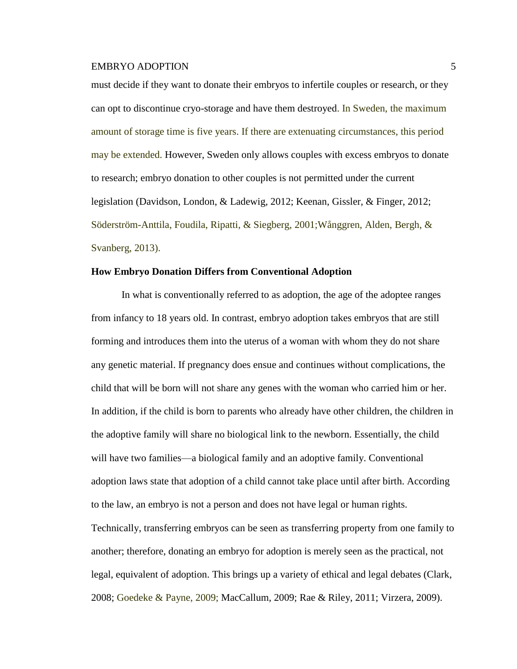must decide if they want to donate their embryos to infertile couples or research, or they can opt to discontinue cryo-storage and have them destroyed. In Sweden, the maximum amount of storage time is five years. If there are extenuating circumstances, this period may be extended. However, Sweden only allows couples with excess embryos to donate to research; embryo donation to other couples is not permitted under the current legislation (Davidson, London, & Ladewig, 2012; Keenan, Gissler, & Finger, 2012; Söderström-Anttila, Foudila, Ripatti, & Siegberg, 2001;Wånggren, Alden, Bergh, & Svanberg, 2013).

### **How Embryo Donation Differs from Conventional Adoption**

In what is conventionally referred to as adoption, the age of the adoptee ranges from infancy to 18 years old. In contrast, embryo adoption takes embryos that are still forming and introduces them into the uterus of a woman with whom they do not share any genetic material. If pregnancy does ensue and continues without complications, the child that will be born will not share any genes with the woman who carried him or her. In addition, if the child is born to parents who already have other children, the children in the adoptive family will share no biological link to the newborn. Essentially, the child will have two families—a biological family and an adoptive family. Conventional adoption laws state that adoption of a child cannot take place until after birth. According to the law, an embryo is not a person and does not have legal or human rights. Technically, transferring embryos can be seen as transferring property from one family to another; therefore, donating an embryo for adoption is merely seen as the practical, not legal, equivalent of adoption. This brings up a variety of ethical and legal debates (Clark, 2008; Goedeke & Payne, 2009; MacCallum, 2009; Rae & Riley, 2011; Virzera, 2009).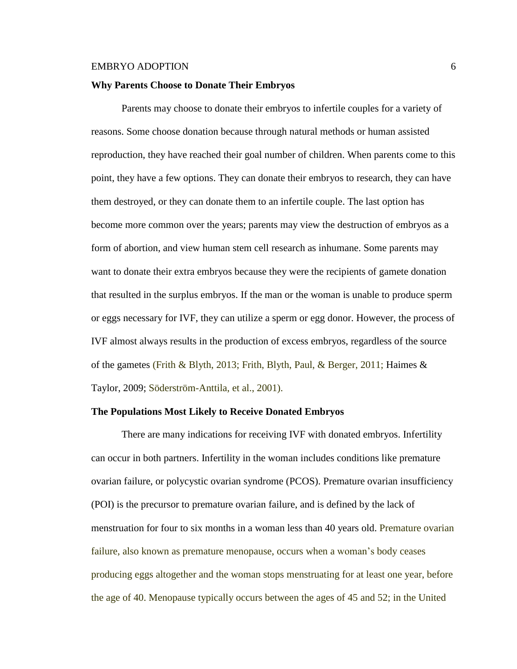#### **Why Parents Choose to Donate Their Embryos**

Parents may choose to donate their embryos to infertile couples for a variety of reasons. Some choose donation because through natural methods or human assisted reproduction, they have reached their goal number of children. When parents come to this point, they have a few options. They can donate their embryos to research, they can have them destroyed, or they can donate them to an infertile couple. The last option has become more common over the years; parents may view the destruction of embryos as a form of abortion, and view human stem cell research as inhumane. Some parents may want to donate their extra embryos because they were the recipients of gamete donation that resulted in the surplus embryos. If the man or the woman is unable to produce sperm or eggs necessary for IVF, they can utilize a sperm or egg donor. However, the process of IVF almost always results in the production of excess embryos, regardless of the source of the gametes (Frith & Blyth, 2013; Frith, Blyth, Paul, & Berger, 2011; Haimes & Taylor, 2009; Söderström-Anttila, et al., 2001).

#### **The Populations Most Likely to Receive Donated Embryos**

There are many indications for receiving IVF with donated embryos. Infertility can occur in both partners. Infertility in the woman includes conditions like premature ovarian failure, or polycystic ovarian syndrome (PCOS). Premature ovarian insufficiency (POI) is the precursor to premature ovarian failure, and is defined by the lack of menstruation for four to six months in a woman less than 40 years old. Premature ovarian failure, also known as premature menopause, occurs when a woman's body ceases producing eggs altogether and the woman stops menstruating for at least one year, before the age of 40. Menopause typically occurs between the ages of 45 and 52; in the United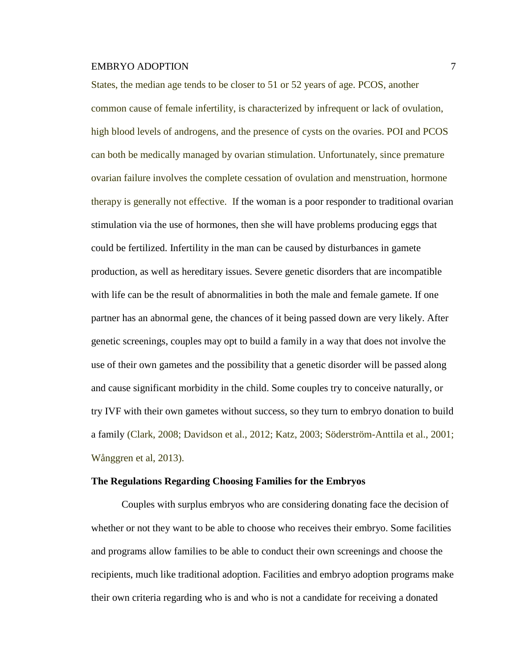States, the median age tends to be closer to 51 or 52 years of age. PCOS, another common cause of female infertility, is characterized by infrequent or lack of ovulation, high blood levels of androgens, and the presence of cysts on the ovaries. POI and PCOS can both be medically managed by ovarian stimulation. Unfortunately, since premature ovarian failure involves the complete cessation of ovulation and menstruation, hormone therapy is generally not effective. If the woman is a poor responder to traditional ovarian stimulation via the use of hormones, then she will have problems producing eggs that could be fertilized. Infertility in the man can be caused by disturbances in gamete production, as well as hereditary issues. Severe genetic disorders that are incompatible with life can be the result of abnormalities in both the male and female gamete. If one partner has an abnormal gene, the chances of it being passed down are very likely. After genetic screenings, couples may opt to build a family in a way that does not involve the use of their own gametes and the possibility that a genetic disorder will be passed along and cause significant morbidity in the child. Some couples try to conceive naturally, or try IVF with their own gametes without success, so they turn to embryo donation to build a family (Clark, 2008; Davidson et al., 2012; Katz, 2003; Söderström-Anttila et al., 2001; Wånggren et al, 2013).

#### **The Regulations Regarding Choosing Families for the Embryos**

Couples with surplus embryos who are considering donating face the decision of whether or not they want to be able to choose who receives their embryo. Some facilities and programs allow families to be able to conduct their own screenings and choose the recipients, much like traditional adoption. Facilities and embryo adoption programs make their own criteria regarding who is and who is not a candidate for receiving a donated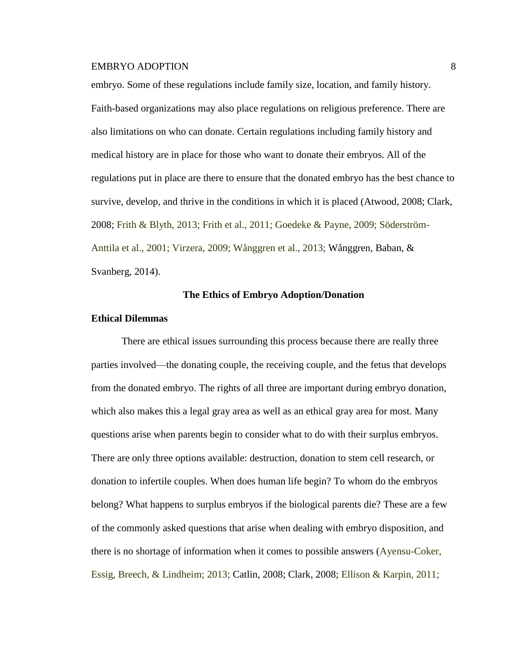embryo. Some of these regulations include family size, location, and family history. Faith-based organizations may also place regulations on religious preference. There are also limitations on who can donate. Certain regulations including family history and medical history are in place for those who want to donate their embryos. All of the regulations put in place are there to ensure that the donated embryo has the best chance to survive, develop, and thrive in the conditions in which it is placed (Atwood, 2008; Clark, 2008; Frith & Blyth, 2013; Frith et al., 2011; Goedeke & Payne, 2009; Söderström-Anttila et al., 2001; Virzera, 2009; Wånggren et al., 2013; Wånggren, Baban, & Svanberg, 2014).

# **The Ethics of Embryo Adoption/Donation**

#### **Ethical Dilemmas**

There are ethical issues surrounding this process because there are really three parties involved—the donating couple, the receiving couple, and the fetus that develops from the donated embryo. The rights of all three are important during embryo donation, which also makes this a legal gray area as well as an ethical gray area for most. Many questions arise when parents begin to consider what to do with their surplus embryos. There are only three options available: destruction, donation to stem cell research, or donation to infertile couples. When does human life begin? To whom do the embryos belong? What happens to surplus embryos if the biological parents die? These are a few of the commonly asked questions that arise when dealing with embryo disposition, and there is no shortage of information when it comes to possible answers (Ayensu-Coker, Essig, Breech, & Lindheim; 2013; Catlin, 2008; Clark, 2008; Ellison & Karpin, 2011;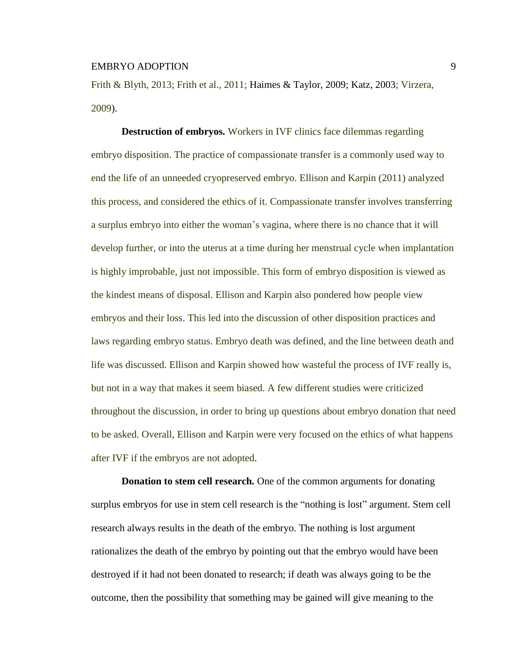Frith & Blyth, 2013; Frith et al., 2011; Haimes & Taylor, 2009; Katz, 2003; Virzera, 2009).

**Destruction of embryos***.* Workers in IVF clinics face dilemmas regarding embryo disposition. The practice of compassionate transfer is a commonly used way to end the life of an unneeded cryopreserved embryo. Ellison and Karpin (2011) analyzed this process, and considered the ethics of it. Compassionate transfer involves transferring a surplus embryo into either the woman's vagina, where there is no chance that it will develop further, or into the uterus at a time during her menstrual cycle when implantation is highly improbable, just not impossible. This form of embryo disposition is viewed as the kindest means of disposal. Ellison and Karpin also pondered how people view embryos and their loss. This led into the discussion of other disposition practices and laws regarding embryo status. Embryo death was defined, and the line between death and life was discussed. Ellison and Karpin showed how wasteful the process of IVF really is, but not in a way that makes it seem biased. A few different studies were criticized throughout the discussion, in order to bring up questions about embryo donation that need to be asked. Overall, Ellison and Karpin were very focused on the ethics of what happens after IVF if the embryos are not adopted.

**Donation to stem cell research***.* One of the common arguments for donating surplus embryos for use in stem cell research is the "nothing is lost" argument. Stem cell research always results in the death of the embryo. The nothing is lost argument rationalizes the death of the embryo by pointing out that the embryo would have been destroyed if it had not been donated to research; if death was always going to be the outcome, then the possibility that something may be gained will give meaning to the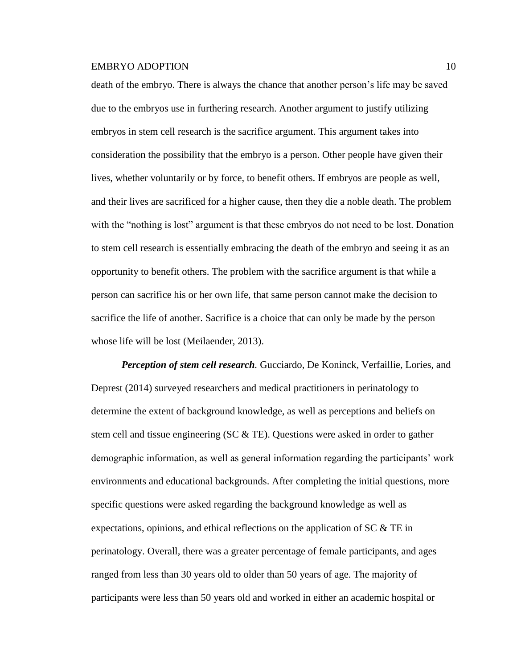death of the embryo. There is always the chance that another person's life may be saved due to the embryos use in furthering research. Another argument to justify utilizing embryos in stem cell research is the sacrifice argument. This argument takes into consideration the possibility that the embryo is a person. Other people have given their lives, whether voluntarily or by force, to benefit others. If embryos are people as well, and their lives are sacrificed for a higher cause, then they die a noble death. The problem with the "nothing is lost" argument is that these embryos do not need to be lost. Donation to stem cell research is essentially embracing the death of the embryo and seeing it as an opportunity to benefit others. The problem with the sacrifice argument is that while a person can sacrifice his or her own life, that same person cannot make the decision to sacrifice the life of another. Sacrifice is a choice that can only be made by the person whose life will be lost (Meilaender, 2013).

*Perception of stem cell research.* Gucciardo, De Koninck, Verfaillie, Lories, and Deprest (2014) surveyed researchers and medical practitioners in perinatology to determine the extent of background knowledge, as well as perceptions and beliefs on stem cell and tissue engineering (SC  $&$  TE). Questions were asked in order to gather demographic information, as well as general information regarding the participants' work environments and educational backgrounds. After completing the initial questions, more specific questions were asked regarding the background knowledge as well as expectations, opinions, and ethical reflections on the application of  $SC & TE$  in perinatology. Overall, there was a greater percentage of female participants, and ages ranged from less than 30 years old to older than 50 years of age. The majority of participants were less than 50 years old and worked in either an academic hospital or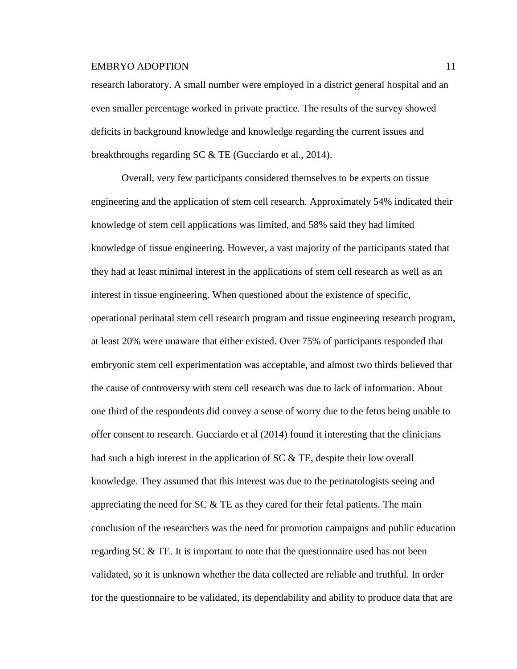research laboratory. A small number were employed in a district general hospital and an even smaller percentage worked in private practice. The results of the survey showed deficits in background knowledge and knowledge regarding the current issues and breakthroughs regarding SC & TE (Gucciardo et al., 2014).

Overall, very few participants considered themselves to be experts on tissue engineering and the application of stem cell research. Approximately 54% indicated their knowledge of stem cell applications was limited, and 58% said they had limited knowledge of tissue engineering. However, a vast majority of the participants stated that they had at least minimal interest in the applications of stem cell research as well as an interest in tissue engineering. When questioned about the existence of specific, operational perinatal stem cell research program and tissue engineering research program, at least 20% were unaware that either existed. Over 75% of participants responded that embryonic stem cell experimentation was acceptable, and almost two thirds believed that the cause of controversy with stem cell research was due to lack of information. About one third of the respondents did convey a sense of worry due to the fetus being unable to offer consent to research. Gucciardo et al (2014) found it interesting that the clinicians had such a high interest in the application of SC & TE, despite their low overall knowledge. They assumed that this interest was due to the perinatologists seeing and appreciating the need for  $SC & TE$  as they cared for their fetal patients. The main conclusion of the researchers was the need for promotion campaigns and public education regarding  $SC \& TE$ . It is important to note that the questionnaire used has not been validated, so it is unknown whether the data collected are reliable and truthful. In order for the questionnaire to be validated, its dependability and ability to produce data that are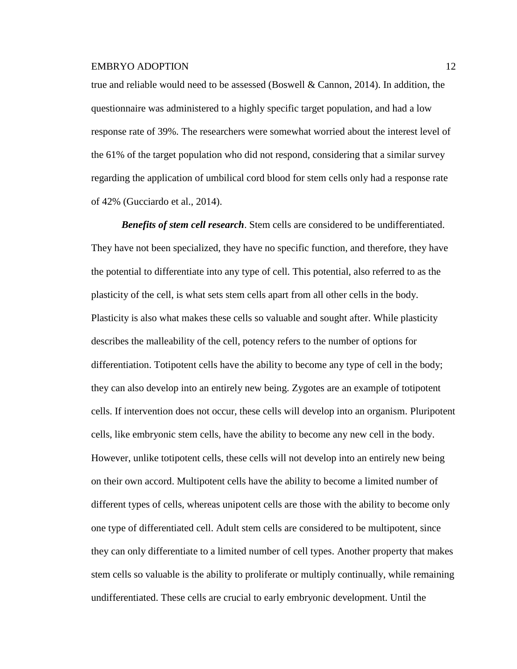true and reliable would need to be assessed (Boswell & Cannon, 2014). In addition, the questionnaire was administered to a highly specific target population, and had a low response rate of 39%. The researchers were somewhat worried about the interest level of the 61% of the target population who did not respond, considering that a similar survey regarding the application of umbilical cord blood for stem cells only had a response rate of 42% (Gucciardo et al., 2014).

*Benefits of stem cell research*. Stem cells are considered to be undifferentiated. They have not been specialized, they have no specific function, and therefore, they have the potential to differentiate into any type of cell. This potential, also referred to as the plasticity of the cell, is what sets stem cells apart from all other cells in the body. Plasticity is also what makes these cells so valuable and sought after. While plasticity describes the malleability of the cell, potency refers to the number of options for differentiation. Totipotent cells have the ability to become any type of cell in the body; they can also develop into an entirely new being. Zygotes are an example of totipotent cells. If intervention does not occur, these cells will develop into an organism. Pluripotent cells, like embryonic stem cells, have the ability to become any new cell in the body. However, unlike totipotent cells, these cells will not develop into an entirely new being on their own accord. Multipotent cells have the ability to become a limited number of different types of cells, whereas unipotent cells are those with the ability to become only one type of differentiated cell. Adult stem cells are considered to be multipotent, since they can only differentiate to a limited number of cell types. Another property that makes stem cells so valuable is the ability to proliferate or multiply continually, while remaining undifferentiated. These cells are crucial to early embryonic development. Until the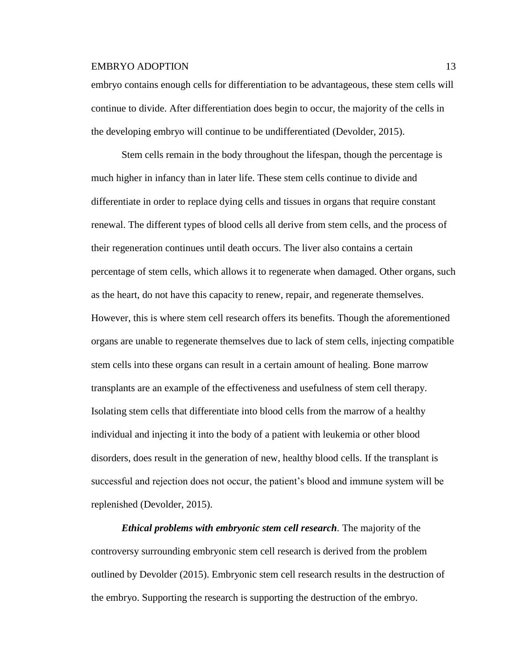embryo contains enough cells for differentiation to be advantageous, these stem cells will continue to divide. After differentiation does begin to occur, the majority of the cells in the developing embryo will continue to be undifferentiated (Devolder, 2015).

Stem cells remain in the body throughout the lifespan, though the percentage is much higher in infancy than in later life. These stem cells continue to divide and differentiate in order to replace dying cells and tissues in organs that require constant renewal. The different types of blood cells all derive from stem cells, and the process of their regeneration continues until death occurs. The liver also contains a certain percentage of stem cells, which allows it to regenerate when damaged. Other organs, such as the heart, do not have this capacity to renew, repair, and regenerate themselves. However, this is where stem cell research offers its benefits. Though the aforementioned organs are unable to regenerate themselves due to lack of stem cells, injecting compatible stem cells into these organs can result in a certain amount of healing. Bone marrow transplants are an example of the effectiveness and usefulness of stem cell therapy. Isolating stem cells that differentiate into blood cells from the marrow of a healthy individual and injecting it into the body of a patient with leukemia or other blood disorders, does result in the generation of new, healthy blood cells. If the transplant is successful and rejection does not occur, the patient's blood and immune system will be replenished (Devolder, 2015).

*Ethical problems with embryonic stem cell research.* The majority of the controversy surrounding embryonic stem cell research is derived from the problem outlined by Devolder (2015). Embryonic stem cell research results in the destruction of the embryo. Supporting the research is supporting the destruction of the embryo.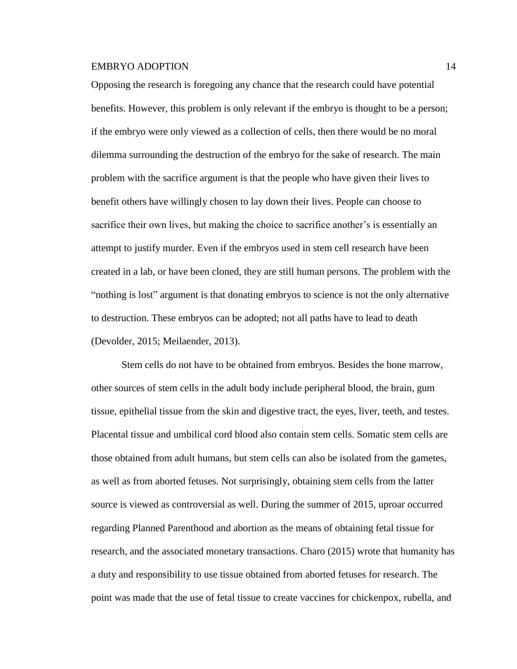Opposing the research is foregoing any chance that the research could have potential benefits. However, this problem is only relevant if the embryo is thought to be a person; if the embryo were only viewed as a collection of cells, then there would be no moral dilemma surrounding the destruction of the embryo for the sake of research. The main problem with the sacrifice argument is that the people who have given their lives to benefit others have willingly chosen to lay down their lives. People can choose to sacrifice their own lives, but making the choice to sacrifice another's is essentially an attempt to justify murder. Even if the embryos used in stem cell research have been created in a lab, or have been cloned, they are still human persons. The problem with the "nothing is lost" argument is that donating embryos to science is not the only alternative to destruction. These embryos can be adopted; not all paths have to lead to death (Devolder, 2015; Meilaender, 2013).

Stem cells do not have to be obtained from embryos. Besides the bone marrow, other sources of stem cells in the adult body include peripheral blood, the brain, gum tissue, epithelial tissue from the skin and digestive tract, the eyes, liver, teeth, and testes. Placental tissue and umbilical cord blood also contain stem cells. Somatic stem cells are those obtained from adult humans, but stem cells can also be isolated from the gametes, as well as from aborted fetuses. Not surprisingly, obtaining stem cells from the latter source is viewed as controversial as well. During the summer of 2015, uproar occurred regarding Planned Parenthood and abortion as the means of obtaining fetal tissue for research, and the associated monetary transactions. Charo (2015) wrote that humanity has a duty and responsibility to use tissue obtained from aborted fetuses for research. The point was made that the use of fetal tissue to create vaccines for chickenpox, rubella, and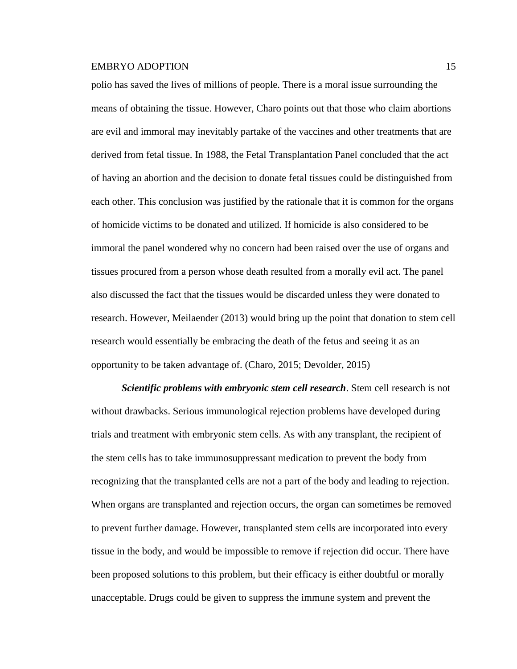polio has saved the lives of millions of people. There is a moral issue surrounding the means of obtaining the tissue. However, Charo points out that those who claim abortions are evil and immoral may inevitably partake of the vaccines and other treatments that are derived from fetal tissue. In 1988, the Fetal Transplantation Panel concluded that the act of having an abortion and the decision to donate fetal tissues could be distinguished from each other. This conclusion was justified by the rationale that it is common for the organs of homicide victims to be donated and utilized. If homicide is also considered to be immoral the panel wondered why no concern had been raised over the use of organs and tissues procured from a person whose death resulted from a morally evil act. The panel also discussed the fact that the tissues would be discarded unless they were donated to research. However, Meilaender (2013) would bring up the point that donation to stem cell research would essentially be embracing the death of the fetus and seeing it as an opportunity to be taken advantage of. (Charo, 2015; Devolder, 2015)

*Scientific problems with embryonic stem cell research*. Stem cell research is not without drawbacks. Serious immunological rejection problems have developed during trials and treatment with embryonic stem cells. As with any transplant, the recipient of the stem cells has to take immunosuppressant medication to prevent the body from recognizing that the transplanted cells are not a part of the body and leading to rejection. When organs are transplanted and rejection occurs, the organ can sometimes be removed to prevent further damage. However, transplanted stem cells are incorporated into every tissue in the body, and would be impossible to remove if rejection did occur. There have been proposed solutions to this problem, but their efficacy is either doubtful or morally unacceptable. Drugs could be given to suppress the immune system and prevent the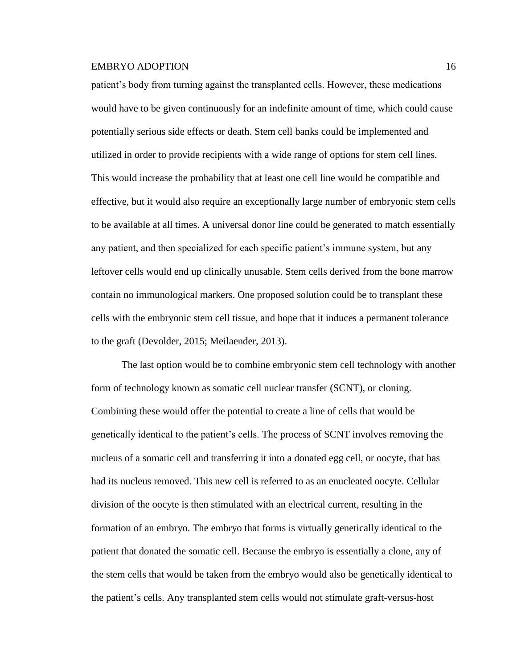patient's body from turning against the transplanted cells. However, these medications would have to be given continuously for an indefinite amount of time, which could cause potentially serious side effects or death. Stem cell banks could be implemented and utilized in order to provide recipients with a wide range of options for stem cell lines. This would increase the probability that at least one cell line would be compatible and effective, but it would also require an exceptionally large number of embryonic stem cells to be available at all times. A universal donor line could be generated to match essentially any patient, and then specialized for each specific patient's immune system, but any leftover cells would end up clinically unusable. Stem cells derived from the bone marrow contain no immunological markers. One proposed solution could be to transplant these cells with the embryonic stem cell tissue, and hope that it induces a permanent tolerance to the graft (Devolder, 2015; Meilaender, 2013).

The last option would be to combine embryonic stem cell technology with another form of technology known as somatic cell nuclear transfer (SCNT), or cloning. Combining these would offer the potential to create a line of cells that would be genetically identical to the patient's cells. The process of SCNT involves removing the nucleus of a somatic cell and transferring it into a donated egg cell, or oocyte, that has had its nucleus removed. This new cell is referred to as an enucleated oocyte. Cellular division of the oocyte is then stimulated with an electrical current, resulting in the formation of an embryo. The embryo that forms is virtually genetically identical to the patient that donated the somatic cell. Because the embryo is essentially a clone, any of the stem cells that would be taken from the embryo would also be genetically identical to the patient's cells. Any transplanted stem cells would not stimulate graft-versus-host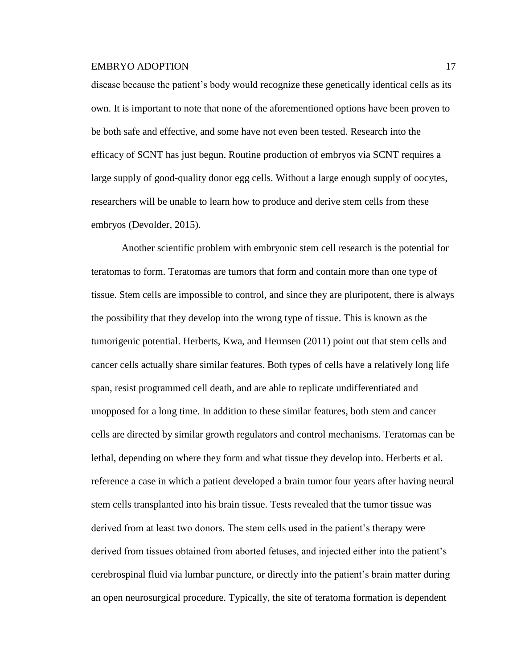disease because the patient's body would recognize these genetically identical cells as its own. It is important to note that none of the aforementioned options have been proven to be both safe and effective, and some have not even been tested. Research into the efficacy of SCNT has just begun. Routine production of embryos via SCNT requires a large supply of good-quality donor egg cells. Without a large enough supply of oocytes, researchers will be unable to learn how to produce and derive stem cells from these embryos (Devolder, 2015).

Another scientific problem with embryonic stem cell research is the potential for teratomas to form. Teratomas are tumors that form and contain more than one type of tissue. Stem cells are impossible to control, and since they are pluripotent, there is always the possibility that they develop into the wrong type of tissue. This is known as the tumorigenic potential. Herberts, Kwa, and Hermsen (2011) point out that stem cells and cancer cells actually share similar features. Both types of cells have a relatively long life span, resist programmed cell death, and are able to replicate undifferentiated and unopposed for a long time. In addition to these similar features, both stem and cancer cells are directed by similar growth regulators and control mechanisms. Teratomas can be lethal, depending on where they form and what tissue they develop into. Herberts et al. reference a case in which a patient developed a brain tumor four years after having neural stem cells transplanted into his brain tissue. Tests revealed that the tumor tissue was derived from at least two donors. The stem cells used in the patient's therapy were derived from tissues obtained from aborted fetuses, and injected either into the patient's cerebrospinal fluid via lumbar puncture, or directly into the patient's brain matter during an open neurosurgical procedure. Typically, the site of teratoma formation is dependent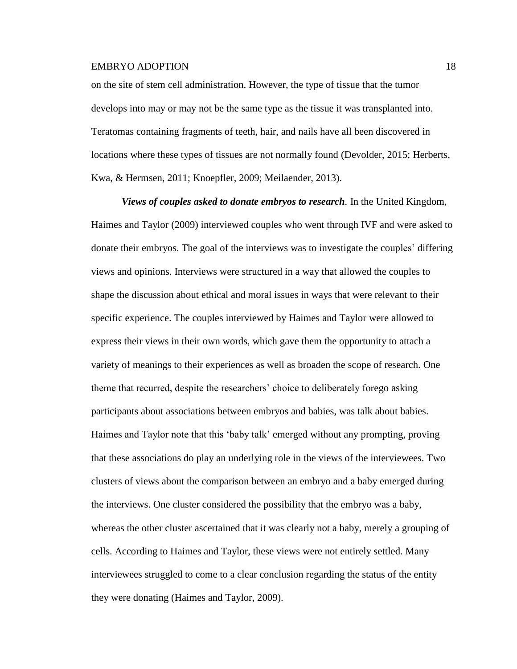on the site of stem cell administration. However, the type of tissue that the tumor develops into may or may not be the same type as the tissue it was transplanted into. Teratomas containing fragments of teeth, hair, and nails have all been discovered in locations where these types of tissues are not normally found (Devolder, 2015; Herberts, Kwa, & Hermsen, 2011; Knoepfler, 2009; Meilaender, 2013).

*Views of couples asked to donate embryos to research.* In the United Kingdom, Haimes and Taylor (2009) interviewed couples who went through IVF and were asked to donate their embryos. The goal of the interviews was to investigate the couples' differing views and opinions. Interviews were structured in a way that allowed the couples to shape the discussion about ethical and moral issues in ways that were relevant to their specific experience. The couples interviewed by Haimes and Taylor were allowed to express their views in their own words, which gave them the opportunity to attach a variety of meanings to their experiences as well as broaden the scope of research. One theme that recurred, despite the researchers' choice to deliberately forego asking participants about associations between embryos and babies, was talk about babies. Haimes and Taylor note that this 'baby talk' emerged without any prompting, proving that these associations do play an underlying role in the views of the interviewees. Two clusters of views about the comparison between an embryo and a baby emerged during the interviews. One cluster considered the possibility that the embryo was a baby, whereas the other cluster ascertained that it was clearly not a baby, merely a grouping of cells. According to Haimes and Taylor, these views were not entirely settled. Many interviewees struggled to come to a clear conclusion regarding the status of the entity they were donating (Haimes and Taylor, 2009).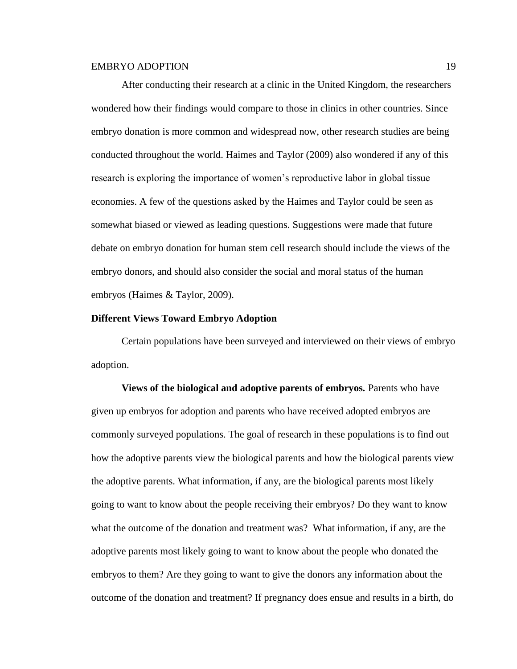After conducting their research at a clinic in the United Kingdom, the researchers wondered how their findings would compare to those in clinics in other countries. Since embryo donation is more common and widespread now, other research studies are being conducted throughout the world. Haimes and Taylor (2009) also wondered if any of this research is exploring the importance of women's reproductive labor in global tissue economies. A few of the questions asked by the Haimes and Taylor could be seen as somewhat biased or viewed as leading questions. Suggestions were made that future debate on embryo donation for human stem cell research should include the views of the embryo donors, and should also consider the social and moral status of the human embryos (Haimes & Taylor, 2009).

# **Different Views Toward Embryo Adoption**

Certain populations have been surveyed and interviewed on their views of embryo adoption.

**Views of the biological and adoptive parents of embryos***.* Parents who have given up embryos for adoption and parents who have received adopted embryos are commonly surveyed populations. The goal of research in these populations is to find out how the adoptive parents view the biological parents and how the biological parents view the adoptive parents. What information, if any, are the biological parents most likely going to want to know about the people receiving their embryos? Do they want to know what the outcome of the donation and treatment was? What information, if any, are the adoptive parents most likely going to want to know about the people who donated the embryos to them? Are they going to want to give the donors any information about the outcome of the donation and treatment? If pregnancy does ensue and results in a birth, do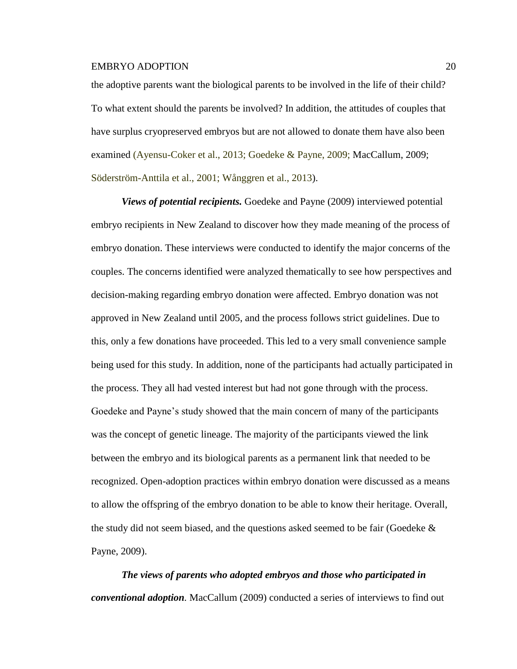the adoptive parents want the biological parents to be involved in the life of their child? To what extent should the parents be involved? In addition, the attitudes of couples that have surplus cryopreserved embryos but are not allowed to donate them have also been examined (Ayensu-Coker et al., 2013; Goedeke & Payne, 2009; MacCallum, 2009; Söderström-Anttila et al., 2001; Wånggren et al., 2013).

*Views of potential recipients.* Goedeke and Payne (2009) interviewed potential embryo recipients in New Zealand to discover how they made meaning of the process of embryo donation. These interviews were conducted to identify the major concerns of the couples. The concerns identified were analyzed thematically to see how perspectives and decision-making regarding embryo donation were affected. Embryo donation was not approved in New Zealand until 2005, and the process follows strict guidelines. Due to this, only a few donations have proceeded. This led to a very small convenience sample being used for this study. In addition, none of the participants had actually participated in the process. They all had vested interest but had not gone through with the process. Goedeke and Payne's study showed that the main concern of many of the participants was the concept of genetic lineage. The majority of the participants viewed the link between the embryo and its biological parents as a permanent link that needed to be recognized. Open-adoption practices within embryo donation were discussed as a means to allow the offspring of the embryo donation to be able to know their heritage. Overall, the study did not seem biased, and the questions asked seemed to be fair (Goedeke  $\&$ Payne, 2009).

*The views of parents who adopted embryos and those who participated in conventional adoption.* MacCallum (2009) conducted a series of interviews to find out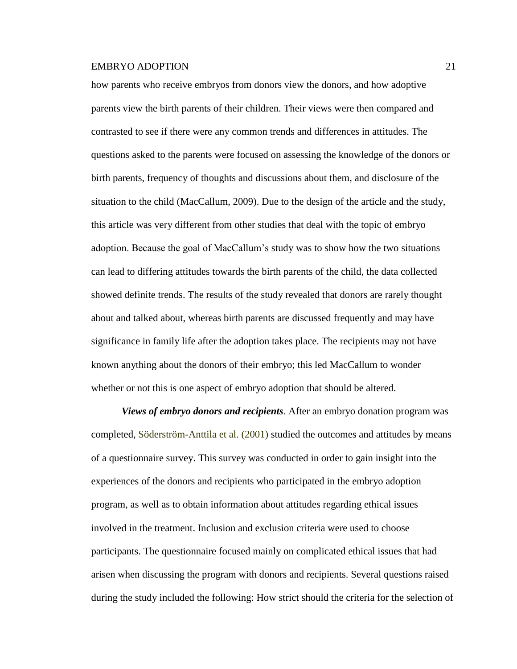how parents who receive embryos from donors view the donors, and how adoptive parents view the birth parents of their children. Their views were then compared and contrasted to see if there were any common trends and differences in attitudes. The questions asked to the parents were focused on assessing the knowledge of the donors or birth parents, frequency of thoughts and discussions about them, and disclosure of the situation to the child (MacCallum, 2009). Due to the design of the article and the study, this article was very different from other studies that deal with the topic of embryo adoption. Because the goal of MacCallum's study was to show how the two situations can lead to differing attitudes towards the birth parents of the child, the data collected showed definite trends. The results of the study revealed that donors are rarely thought about and talked about, whereas birth parents are discussed frequently and may have significance in family life after the adoption takes place. The recipients may not have known anything about the donors of their embryo; this led MacCallum to wonder whether or not this is one aspect of embryo adoption that should be altered.

*Views of embryo donors and recipients*. After an embryo donation program was completed, Söderström-Anttila et al. (2001) studied the outcomes and attitudes by means of a questionnaire survey. This survey was conducted in order to gain insight into the experiences of the donors and recipients who participated in the embryo adoption program, as well as to obtain information about attitudes regarding ethical issues involved in the treatment. Inclusion and exclusion criteria were used to choose participants. The questionnaire focused mainly on complicated ethical issues that had arisen when discussing the program with donors and recipients. Several questions raised during the study included the following: How strict should the criteria for the selection of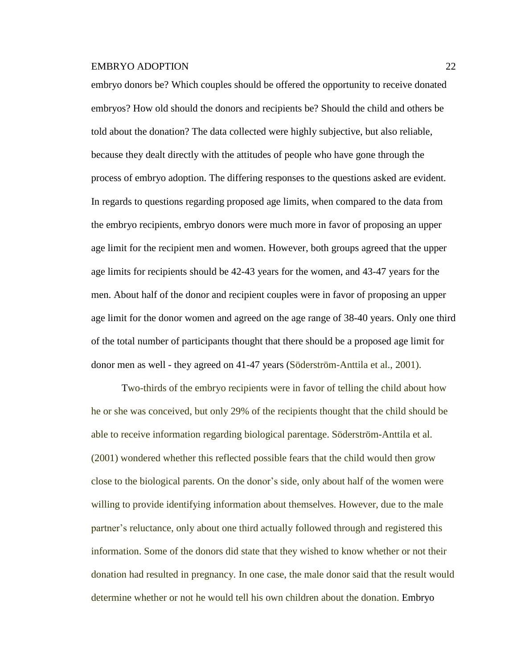embryo donors be? Which couples should be offered the opportunity to receive donated embryos? How old should the donors and recipients be? Should the child and others be told about the donation? The data collected were highly subjective, but also reliable, because they dealt directly with the attitudes of people who have gone through the process of embryo adoption. The differing responses to the questions asked are evident. In regards to questions regarding proposed age limits, when compared to the data from the embryo recipients, embryo donors were much more in favor of proposing an upper age limit for the recipient men and women. However, both groups agreed that the upper age limits for recipients should be 42-43 years for the women, and 43-47 years for the men. About half of the donor and recipient couples were in favor of proposing an upper age limit for the donor women and agreed on the age range of 38-40 years. Only one third of the total number of participants thought that there should be a proposed age limit for donor men as well - they agreed on 41-47 years (Söderström-Anttila et al., 2001).

Two-thirds of the embryo recipients were in favor of telling the child about how he or she was conceived, but only 29% of the recipients thought that the child should be able to receive information regarding biological parentage. Söderström-Anttila et al. (2001) wondered whether this reflected possible fears that the child would then grow close to the biological parents. On the donor's side, only about half of the women were willing to provide identifying information about themselves. However, due to the male partner's reluctance, only about one third actually followed through and registered this information. Some of the donors did state that they wished to know whether or not their donation had resulted in pregnancy. In one case, the male donor said that the result would determine whether or not he would tell his own children about the donation. Embryo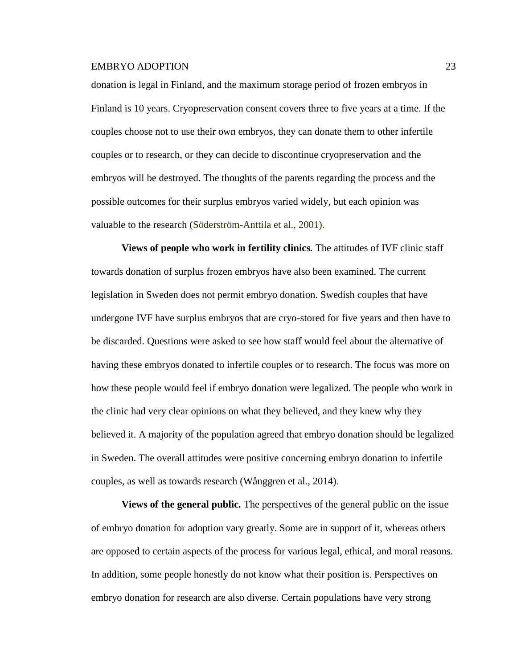donation is legal in Finland, and the maximum storage period of frozen embryos in Finland is 10 years. Cryopreservation consent covers three to five years at a time. If the couples choose not to use their own embryos, they can donate them to other infertile couples or to research, or they can decide to discontinue cryopreservation and the embryos will be destroyed. The thoughts of the parents regarding the process and the possible outcomes for their surplus embryos varied widely, but each opinion was valuable to the research (Söderström-Anttila et al., 2001).

**Views of people who work in fertility clinics***.* The attitudes of IVF clinic staff towards donation of surplus frozen embryos have also been examined. The current legislation in Sweden does not permit embryo donation. Swedish couples that have undergone IVF have surplus embryos that are cryo-stored for five years and then have to be discarded. Questions were asked to see how staff would feel about the alternative of having these embryos donated to infertile couples or to research. The focus was more on how these people would feel if embryo donation were legalized. The people who work in the clinic had very clear opinions on what they believed, and they knew why they believed it. A majority of the population agreed that embryo donation should be legalized in Sweden. The overall attitudes were positive concerning embryo donation to infertile couples, as well as towards research (Wånggren et al., 2014).

**Views of the general public***.* The perspectives of the general public on the issue of embryo donation for adoption vary greatly. Some are in support of it, whereas others are opposed to certain aspects of the process for various legal, ethical, and moral reasons. In addition, some people honestly do not know what their position is. Perspectives on embryo donation for research are also diverse. Certain populations have very strong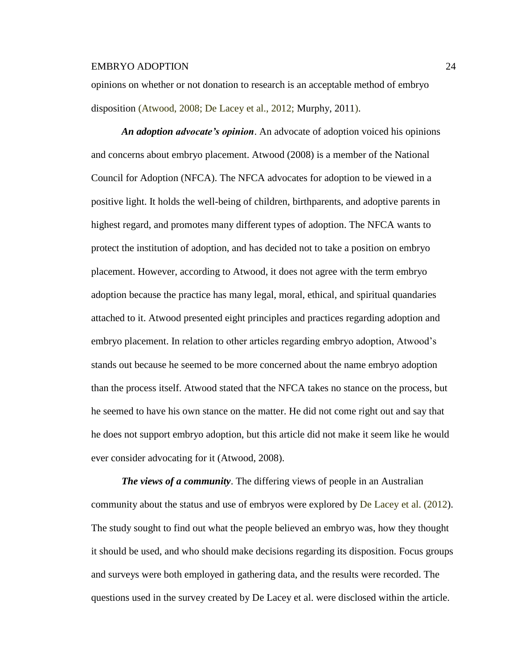opinions on whether or not donation to research is an acceptable method of embryo disposition (Atwood, 2008; De Lacey et al., 2012; Murphy, 2011).

*An adoption advocate's opinion*. An advocate of adoption voiced his opinions and concerns about embryo placement. Atwood (2008) is a member of the National Council for Adoption (NFCA). The NFCA advocates for adoption to be viewed in a positive light. It holds the well-being of children, birthparents, and adoptive parents in highest regard, and promotes many different types of adoption. The NFCA wants to protect the institution of adoption, and has decided not to take a position on embryo placement. However, according to Atwood, it does not agree with the term embryo adoption because the practice has many legal, moral, ethical, and spiritual quandaries attached to it. Atwood presented eight principles and practices regarding adoption and embryo placement. In relation to other articles regarding embryo adoption, Atwood's stands out because he seemed to be more concerned about the name embryo adoption than the process itself. Atwood stated that the NFCA takes no stance on the process, but he seemed to have his own stance on the matter. He did not come right out and say that he does not support embryo adoption, but this article did not make it seem like he would ever consider advocating for it (Atwood, 2008).

*The views of a community*. The differing views of people in an Australian community about the status and use of embryos were explored by De Lacey et al. (2012). The study sought to find out what the people believed an embryo was, how they thought it should be used, and who should make decisions regarding its disposition. Focus groups and surveys were both employed in gathering data, and the results were recorded. The questions used in the survey created by De Lacey et al. were disclosed within the article.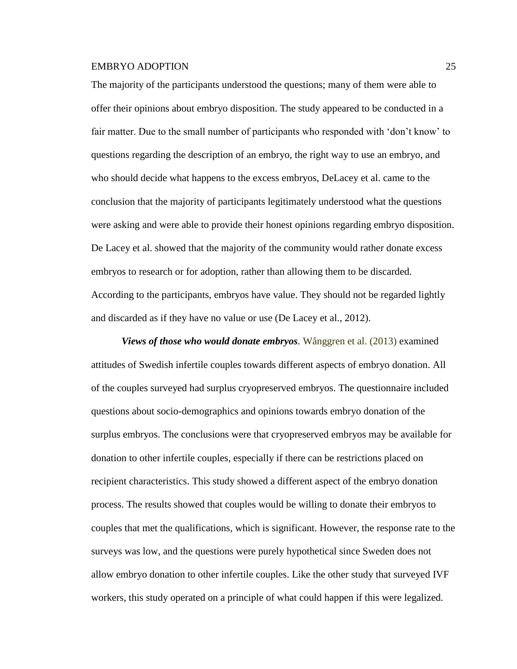The majority of the participants understood the questions; many of them were able to offer their opinions about embryo disposition. The study appeared to be conducted in a fair matter. Due to the small number of participants who responded with 'don't know' to questions regarding the description of an embryo, the right way to use an embryo, and who should decide what happens to the excess embryos, DeLacey et al. came to the conclusion that the majority of participants legitimately understood what the questions were asking and were able to provide their honest opinions regarding embryo disposition. De Lacey et al. showed that the majority of the community would rather donate excess embryos to research or for adoption, rather than allowing them to be discarded. According to the participants, embryos have value. They should not be regarded lightly and discarded as if they have no value or use (De Lacey et al., 2012).

*Views of those who would donate embryos.* Wånggren et al. (2013) examined attitudes of Swedish infertile couples towards different aspects of embryo donation. All of the couples surveyed had surplus cryopreserved embryos. The questionnaire included questions about socio-demographics and opinions towards embryo donation of the surplus embryos. The conclusions were that cryopreserved embryos may be available for donation to other infertile couples, especially if there can be restrictions placed on recipient characteristics. This study showed a different aspect of the embryo donation process. The results showed that couples would be willing to donate their embryos to couples that met the qualifications, which is significant. However, the response rate to the surveys was low, and the questions were purely hypothetical since Sweden does not allow embryo donation to other infertile couples. Like the other study that surveyed IVF workers, this study operated on a principle of what could happen if this were legalized.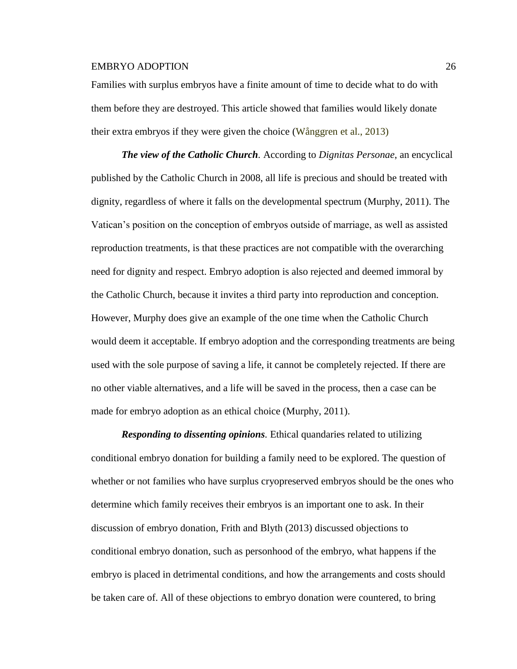Families with surplus embryos have a finite amount of time to decide what to do with them before they are destroyed. This article showed that families would likely donate their extra embryos if they were given the choice (Wånggren et al., 2013)

*The view of the Catholic Church.* According to *Dignitas Personae*, an encyclical published by the Catholic Church in 2008, all life is precious and should be treated with dignity, regardless of where it falls on the developmental spectrum (Murphy, 2011). The Vatican's position on the conception of embryos outside of marriage, as well as assisted reproduction treatments, is that these practices are not compatible with the overarching need for dignity and respect. Embryo adoption is also rejected and deemed immoral by the Catholic Church, because it invites a third party into reproduction and conception. However, Murphy does give an example of the one time when the Catholic Church would deem it acceptable. If embryo adoption and the corresponding treatments are being used with the sole purpose of saving a life, it cannot be completely rejected. If there are no other viable alternatives, and a life will be saved in the process, then a case can be made for embryo adoption as an ethical choice (Murphy, 2011).

*Responding to dissenting opinions.* Ethical quandaries related to utilizing conditional embryo donation for building a family need to be explored. The question of whether or not families who have surplus cryopreserved embryos should be the ones who determine which family receives their embryos is an important one to ask. In their discussion of embryo donation, Frith and Blyth (2013) discussed objections to conditional embryo donation, such as personhood of the embryo, what happens if the embryo is placed in detrimental conditions, and how the arrangements and costs should be taken care of. All of these objections to embryo donation were countered, to bring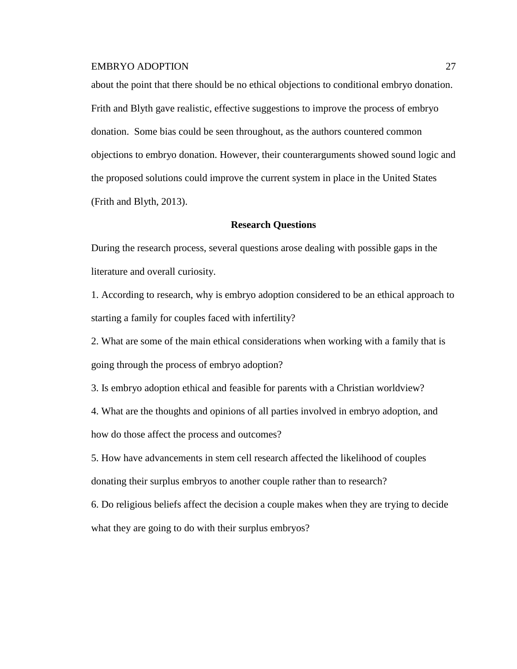about the point that there should be no ethical objections to conditional embryo donation. Frith and Blyth gave realistic, effective suggestions to improve the process of embryo donation. Some bias could be seen throughout, as the authors countered common objections to embryo donation. However, their counterarguments showed sound logic and the proposed solutions could improve the current system in place in the United States (Frith and Blyth, 2013).

### **Research Questions**

During the research process, several questions arose dealing with possible gaps in the literature and overall curiosity.

1. According to research, why is embryo adoption considered to be an ethical approach to starting a family for couples faced with infertility?

2. What are some of the main ethical considerations when working with a family that is going through the process of embryo adoption?

3. Is embryo adoption ethical and feasible for parents with a Christian worldview?

4. What are the thoughts and opinions of all parties involved in embryo adoption, and how do those affect the process and outcomes?

5. How have advancements in stem cell research affected the likelihood of couples donating their surplus embryos to another couple rather than to research?

6. Do religious beliefs affect the decision a couple makes when they are trying to decide what they are going to do with their surplus embryos?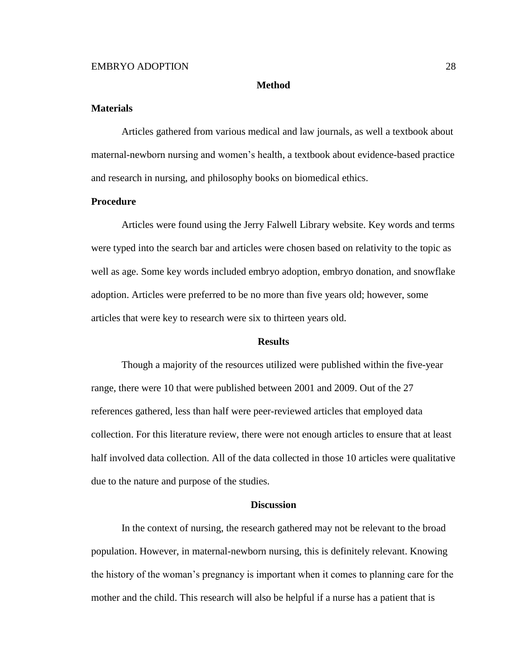#### **Method**

# **Materials**

Articles gathered from various medical and law journals, as well a textbook about maternal-newborn nursing and women's health, a textbook about evidence-based practice and research in nursing, and philosophy books on biomedical ethics.

# **Procedure**

Articles were found using the Jerry Falwell Library website. Key words and terms were typed into the search bar and articles were chosen based on relativity to the topic as well as age. Some key words included embryo adoption, embryo donation, and snowflake adoption. Articles were preferred to be no more than five years old; however, some articles that were key to research were six to thirteen years old.

#### **Results**

Though a majority of the resources utilized were published within the five-year range, there were 10 that were published between 2001 and 2009. Out of the 27 references gathered, less than half were peer-reviewed articles that employed data collection. For this literature review, there were not enough articles to ensure that at least half involved data collection. All of the data collected in those 10 articles were qualitative due to the nature and purpose of the studies.

#### **Discussion**

In the context of nursing, the research gathered may not be relevant to the broad population. However, in maternal-newborn nursing, this is definitely relevant. Knowing the history of the woman's pregnancy is important when it comes to planning care for the mother and the child. This research will also be helpful if a nurse has a patient that is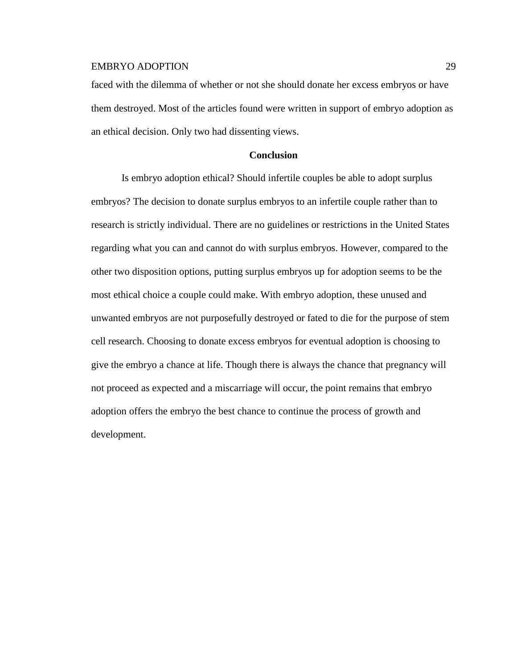faced with the dilemma of whether or not she should donate her excess embryos or have them destroyed. Most of the articles found were written in support of embryo adoption as an ethical decision. Only two had dissenting views.

# **Conclusion**

Is embryo adoption ethical? Should infertile couples be able to adopt surplus embryos? The decision to donate surplus embryos to an infertile couple rather than to research is strictly individual. There are no guidelines or restrictions in the United States regarding what you can and cannot do with surplus embryos. However, compared to the other two disposition options, putting surplus embryos up for adoption seems to be the most ethical choice a couple could make. With embryo adoption, these unused and unwanted embryos are not purposefully destroyed or fated to die for the purpose of stem cell research. Choosing to donate excess embryos for eventual adoption is choosing to give the embryo a chance at life. Though there is always the chance that pregnancy will not proceed as expected and a miscarriage will occur, the point remains that embryo adoption offers the embryo the best chance to continue the process of growth and development.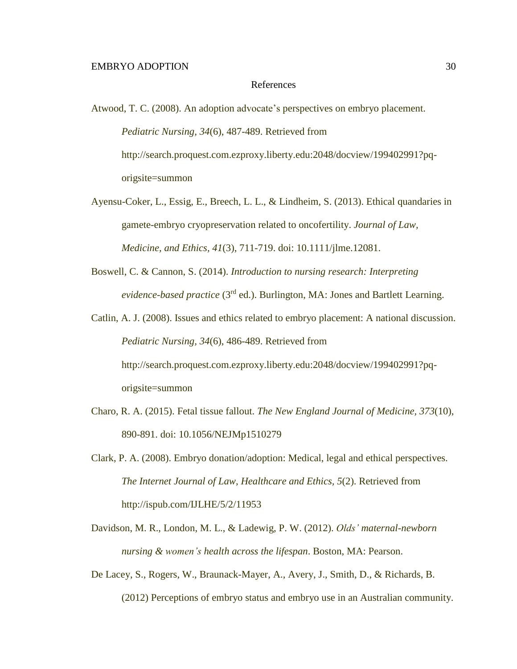#### References

Atwood, T. C. (2008). An adoption advocate's perspectives on embryo placement. *Pediatric Nursing, 34*(6), 487-489. Retrieved from http://search.proquest.com.ezproxy.liberty.edu:2048/docview/199402991?pqorigsite=summon

- Ayensu-Coker, L., Essig, E., Breech, L. L., & Lindheim, S. (2013). Ethical quandaries in gamete-embryo cryopreservation related to oncofertility. *Journal of Law, Medicine, and Ethics, 41*(3), 711-719. doi: 10.1111/jlme.12081.
- Boswell, C. & Cannon, S. (2014). *Introduction to nursing research: Interpreting evidence-based practice* (3rd ed.). Burlington, MA: Jones and Bartlett Learning.

Catlin, A. J. (2008). Issues and ethics related to embryo placement: A national discussion. *Pediatric Nursing, 34*(6), 486-489. Retrieved from http://search.proquest.com.ezproxy.liberty.edu:2048/docview/199402991?pqorigsite=summon

- Charo, R. A. (2015). Fetal tissue fallout. *The New England Journal of Medicine, 373*(10), 890-891. doi: 10.1056/NEJMp1510279
- Clark, P. A. (2008). Embryo donation/adoption: Medical, legal and ethical perspectives. *The Internet Journal of Law, Healthcare and Ethics, 5*(2). Retrieved from http://ispub.com/IJLHE/5/2/11953
- Davidson, M. R., London, M. L., & Ladewig, P. W. (2012). *Olds' maternal-newborn nursing & women's health across the lifespan*. Boston, MA: Pearson.
- De Lacey, S., Rogers, W., Braunack-Mayer, A., Avery, J., Smith, D., & Richards, B. (2012) Perceptions of embryo status and embryo use in an Australian community.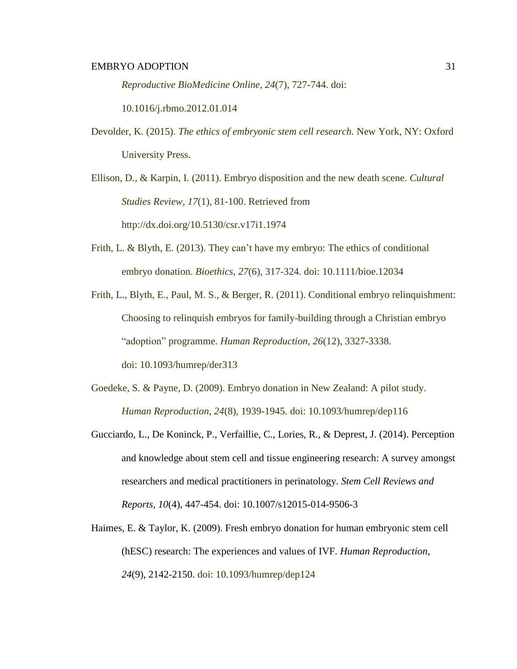*Reproductive BioMedicine Online*, *24*(7), 727-744. doi:

10.1016/j.rbmo.2012.01.014

Devolder, K. (2015). *The ethics of embryonic stem cell research.* New York, NY: Oxford University Press.

Ellison, D., & Karpin, I. (2011). Embryo disposition and the new death scene. *Cultural Studies Review, 17*(1), 81-100. Retrieved from <http://dx.doi.org/10.5130/csr.v17i1.1974>

- Frith, L. & Blyth, E. (2013). They can't have my embryo: The ethics of conditional embryo donation. *Bioethics, 27*(6), 317-324. doi: 10.1111/bioe.12034
- Frith, L., Blyth, E., Paul, M. S., & Berger, R. (2011). Conditional embryo relinquishment: Choosing to relinquish embryos for family-building through a Christian embryo "adoption" programme. *Human Reproduction, 26*(12), 3327-3338. doi: 10.1093/humrep/der313
- Goedeke, S. & Payne, D. (2009). Embryo donation in New Zealand: A pilot study. *Human Reproduction, 24*(8), 1939-1945. doi: 10.1093/humrep/dep116
- Gucciardo, L., De Koninck, P., Verfaillie, C., Lories, R., & Deprest, J. (2014). Perception and knowledge about stem cell and tissue engineering research: A survey amongst researchers and medical practitioners in perinatology. *Stem Cell Reviews and Reports, 10*(4), 447-454. doi: 10.1007/s12015-014-9506-3
- Haimes, E. & Taylor, K. (2009). Fresh embryo donation for human embryonic stem cell (hESC) research: The experiences and values of IVF. *Human Reproduction*, *24*(9), 2142-2150. doi: 10.1093/humrep/dep124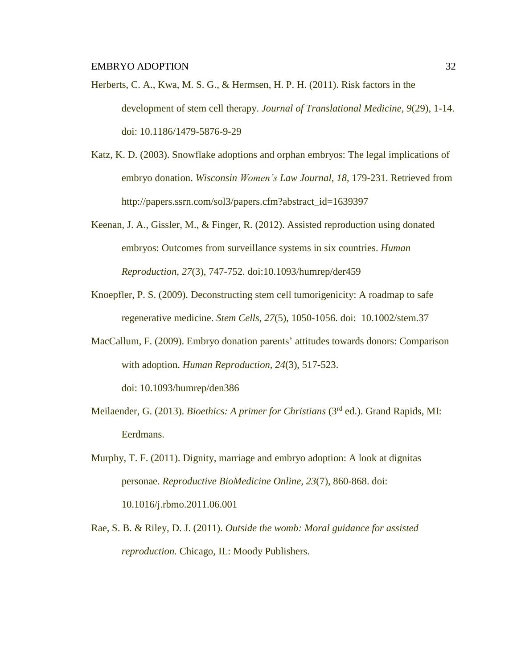- Herberts, C. A., Kwa, M. S. G., & Hermsen, H. P. H. (2011). Risk factors in the development of stem cell therapy. *Journal of Translational Medicine, 9*(29), 1-14. doi: 10.1186/1479-5876-9-29
- Katz, K. D. (2003). Snowflake adoptions and orphan embryos: The legal implications of embryo donation. *Wisconsin Women's Law Journal, 18*, 179-231. Retrieved from http://papers.ssrn.com/sol3/papers.cfm?abstract\_id=1639397
- Keenan, J. A., Gissler, M., & Finger, R. (2012). Assisted reproduction using donated embryos: Outcomes from surveillance systems in six countries. *Human Reproduction, 27*(3), 747-752. doi:10.1093/humrep/der459
- Knoepfler, P. S. (2009). Deconstructing stem cell tumorigenicity: A roadmap to safe regenerative medicine. *Stem Cells, 27*(5), 1050-1056. doi: [10.1002/stem.37](http://dx.doi.org/10.1002%2Fstem.37)
- MacCallum, F. (2009). Embryo donation parents' attitudes towards donors: Comparison with adoption. *Human Reproduction, 24*(3), 517-523.

doi: 10.1093/humrep/den386

- Meilaender, G. (2013). *Bioethics: A primer for Christians* (3rd ed.). Grand Rapids, MI: Eerdmans.
- Murphy, T. F. (2011). Dignity, marriage and embryo adoption: A look at dignitas personae. *Reproductive BioMedicine Online, 23*(7), 860-868. doi: 10.1016/j.rbmo.2011.06.001
- Rae, S. B. & Riley, D. J. (2011). *Outside the womb: Moral guidance for assisted reproduction.* Chicago, IL: Moody Publishers.